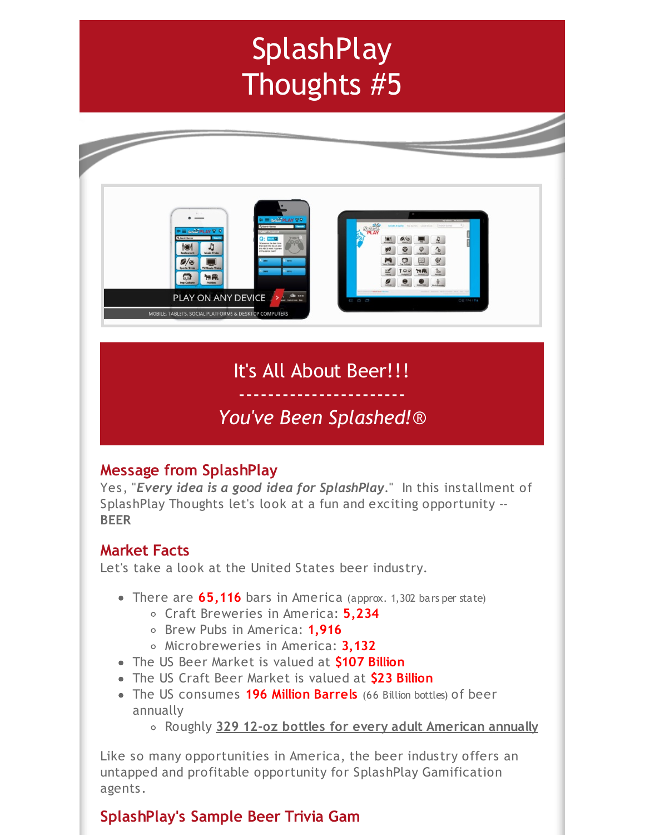# **SplashPlay** Thoughts #5



It's All About Beer!!!

## ----------------------- *You've Been Splashed!*®

## **Message from SplashPlay**

Yes, "*Every idea is a good idea for SplashPlay*." In this installment of SplashPlay Thoughts let's look at a fun and exciting opportunity -- **BEER**

## **Market Facts**

Let's take a look at the United States beer industry.

- There are **65,116** bars in America (approx. 1,302 bars per state)
	- Craft Breweries in America: **5,234**
	- Brew Pubs in America: **1,916**
	- Microbreweries in America: **3,132**
- The US Beer Market is valued at **\$107 Billion**
- The US Craft Beer Market is valued at **\$23 Billion**
- The US consumes **196 Million Barrels** (66 Billion bottles) of beer annually
	- Roughly **329 12-oz bottles for every adult American annually**

Like so many opportunities in America, the beer industry offers an untapped and profitable opportunity for SplashPlay Gamification agents.

## **SplashPlay's Sample Beer Trivia Gam**